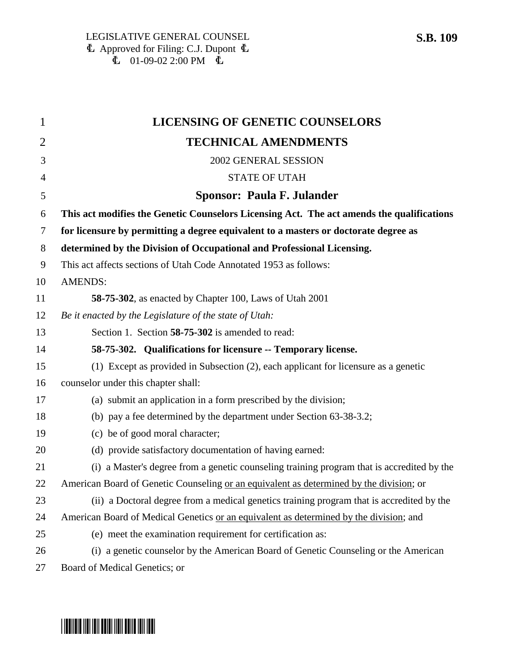| $\mathbf{1}$   | <b>LICENSING OF GENETIC COUNSELORS</b>                                                     |
|----------------|--------------------------------------------------------------------------------------------|
| $\overline{2}$ | <b>TECHNICAL AMENDMENTS</b>                                                                |
| 3              | 2002 GENERAL SESSION                                                                       |
| 4              | <b>STATE OF UTAH</b>                                                                       |
| 5              | <b>Sponsor: Paula F. Julander</b>                                                          |
| 6              | This act modifies the Genetic Counselors Licensing Act. The act amends the qualifications  |
| 7              | for licensure by permitting a degree equivalent to a masters or doctorate degree as        |
| 8              | determined by the Division of Occupational and Professional Licensing.                     |
| 9              | This act affects sections of Utah Code Annotated 1953 as follows:                          |
| 10             | <b>AMENDS:</b>                                                                             |
| 11             | 58-75-302, as enacted by Chapter 100, Laws of Utah 2001                                    |
| 12             | Be it enacted by the Legislature of the state of Utah:                                     |
| 13             | Section 1. Section 58-75-302 is amended to read:                                           |
| 14             | 58-75-302. Qualifications for licensure -- Temporary license.                              |
| 15             | (1) Except as provided in Subsection (2), each applicant for licensure as a genetic        |
| 16             | counselor under this chapter shall:                                                        |
| 17             | (a) submit an application in a form prescribed by the division;                            |
| 18             | (b) pay a fee determined by the department under Section 63-38-3.2;                        |
| 19             | (c) be of good moral character;                                                            |
| 20             | (d) provide satisfactory documentation of having earned:                                   |
| 21             | (i) a Master's degree from a genetic counseling training program that is accredited by the |
| 22             | American Board of Genetic Counseling or an equivalent as determined by the division; or    |
| 23             | (ii) a Doctoral degree from a medical genetics training program that is accredited by the  |
| 24             | American Board of Medical Genetics or an equivalent as determined by the division; and     |
| 25             | (e) meet the examination requirement for certification as:                                 |
| 26             | (i) a genetic counselor by the American Board of Genetic Counseling or the American        |
| 27             | Board of Medical Genetics; or                                                              |